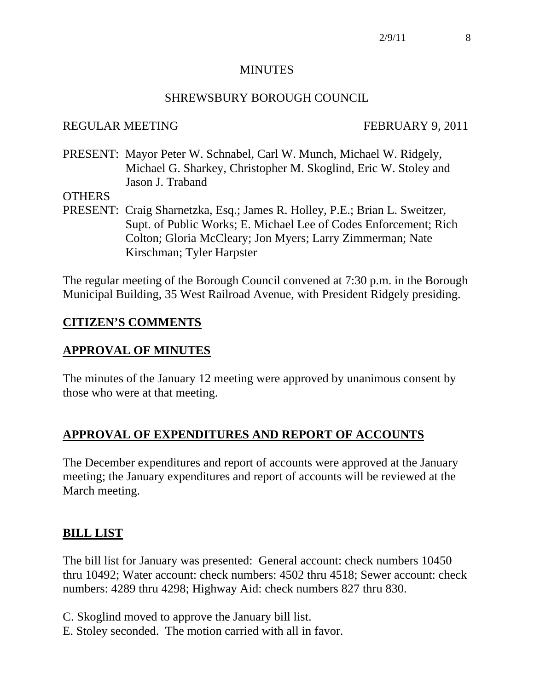#### **MINUTES**

### SHREWSBURY BOROUGH COUNCIL

#### REGULAR MEETING FEBRUARY 9, 2011

PRESENT: Mayor Peter W. Schnabel, Carl W. Munch, Michael W. Ridgely, Michael G. Sharkey, Christopher M. Skoglind, Eric W. Stoley and Jason J. Traband

#### **OTHERS**

PRESENT: Craig Sharnetzka, Esq.; James R. Holley, P.E.; Brian L. Sweitzer, Supt. of Public Works; E. Michael Lee of Codes Enforcement; Rich Colton; Gloria McCleary; Jon Myers; Larry Zimmerman; Nate Kirschman; Tyler Harpster

The regular meeting of the Borough Council convened at 7:30 p.m. in the Borough Municipal Building, 35 West Railroad Avenue, with President Ridgely presiding.

## **CITIZEN'S COMMENTS**

## **APPROVAL OF MINUTES**

The minutes of the January 12 meeting were approved by unanimous consent by those who were at that meeting.

## **APPROVAL OF EXPENDITURES AND REPORT OF ACCOUNTS**

The December expenditures and report of accounts were approved at the January meeting; the January expenditures and report of accounts will be reviewed at the March meeting.

### **BILL LIST**

The bill list for January was presented: General account: check numbers 10450 thru 10492; Water account: check numbers: 4502 thru 4518; Sewer account: check numbers: 4289 thru 4298; Highway Aid: check numbers 827 thru 830.

- C. Skoglind moved to approve the January bill list.
- E. Stoley seconded. The motion carried with all in favor.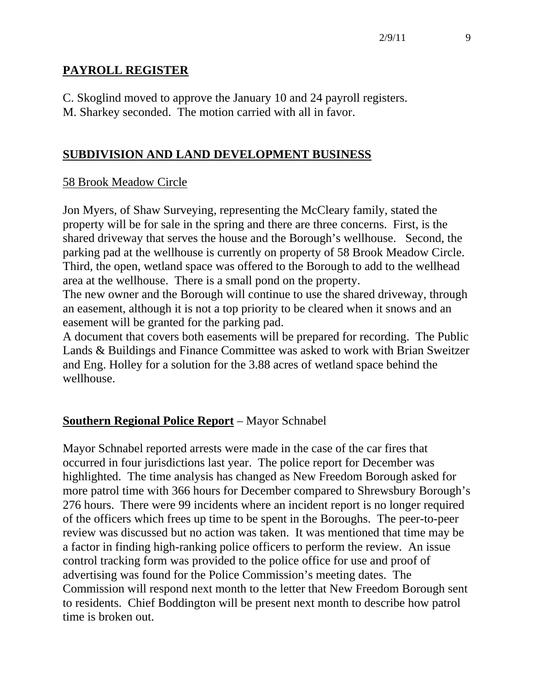## **PAYROLL REGISTER**

C. Skoglind moved to approve the January 10 and 24 payroll registers. M. Sharkey seconded. The motion carried with all in favor.

## **SUBDIVISION AND LAND DEVELOPMENT BUSINESS**

### 58 Brook Meadow Circle

Jon Myers, of Shaw Surveying, representing the McCleary family, stated the property will be for sale in the spring and there are three concerns. First, is the shared driveway that serves the house and the Borough's wellhouse. Second, the parking pad at the wellhouse is currently on property of 58 Brook Meadow Circle. Third, the open, wetland space was offered to the Borough to add to the wellhead area at the wellhouse. There is a small pond on the property.

The new owner and the Borough will continue to use the shared driveway, through an easement, although it is not a top priority to be cleared when it snows and an easement will be granted for the parking pad.

A document that covers both easements will be prepared for recording. The Public Lands & Buildings and Finance Committee was asked to work with Brian Sweitzer and Eng. Holley for a solution for the 3.88 acres of wetland space behind the wellhouse.

# **Southern Regional Police Report** – Mayor Schnabel

Mayor Schnabel reported arrests were made in the case of the car fires that occurred in four jurisdictions last year. The police report for December was highlighted. The time analysis has changed as New Freedom Borough asked for more patrol time with 366 hours for December compared to Shrewsbury Borough's 276 hours. There were 99 incidents where an incident report is no longer required of the officers which frees up time to be spent in the Boroughs. The peer-to-peer review was discussed but no action was taken. It was mentioned that time may be a factor in finding high-ranking police officers to perform the review. An issue control tracking form was provided to the police office for use and proof of advertising was found for the Police Commission's meeting dates. The Commission will respond next month to the letter that New Freedom Borough sent to residents. Chief Boddington will be present next month to describe how patrol time is broken out.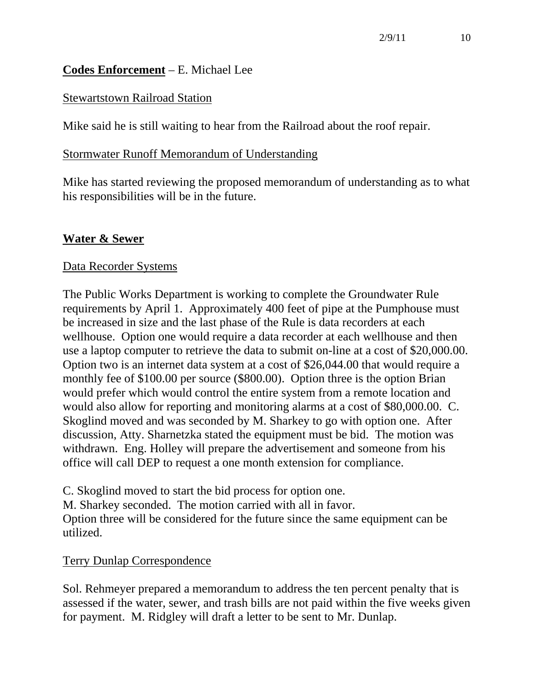## **Codes Enforcement** – E. Michael Lee

## Stewartstown Railroad Station

Mike said he is still waiting to hear from the Railroad about the roof repair.

### Stormwater Runoff Memorandum of Understanding

Mike has started reviewing the proposed memorandum of understanding as to what his responsibilities will be in the future.

## **Water & Sewer**

### Data Recorder Systems

The Public Works Department is working to complete the Groundwater Rule requirements by April 1. Approximately 400 feet of pipe at the Pumphouse must be increased in size and the last phase of the Rule is data recorders at each wellhouse. Option one would require a data recorder at each wellhouse and then use a laptop computer to retrieve the data to submit on-line at a cost of \$20,000.00. Option two is an internet data system at a cost of \$26,044.00 that would require a monthly fee of \$100.00 per source (\$800.00). Option three is the option Brian would prefer which would control the entire system from a remote location and would also allow for reporting and monitoring alarms at a cost of \$80,000.00. C. Skoglind moved and was seconded by M. Sharkey to go with option one. After discussion, Atty. Sharnetzka stated the equipment must be bid. The motion was withdrawn. Eng. Holley will prepare the advertisement and someone from his office will call DEP to request a one month extension for compliance.

C. Skoglind moved to start the bid process for option one.

M. Sharkey seconded. The motion carried with all in favor. Option three will be considered for the future since the same equipment can be utilized.

## Terry Dunlap Correspondence

Sol. Rehmeyer prepared a memorandum to address the ten percent penalty that is assessed if the water, sewer, and trash bills are not paid within the five weeks given for payment. M. Ridgley will draft a letter to be sent to Mr. Dunlap.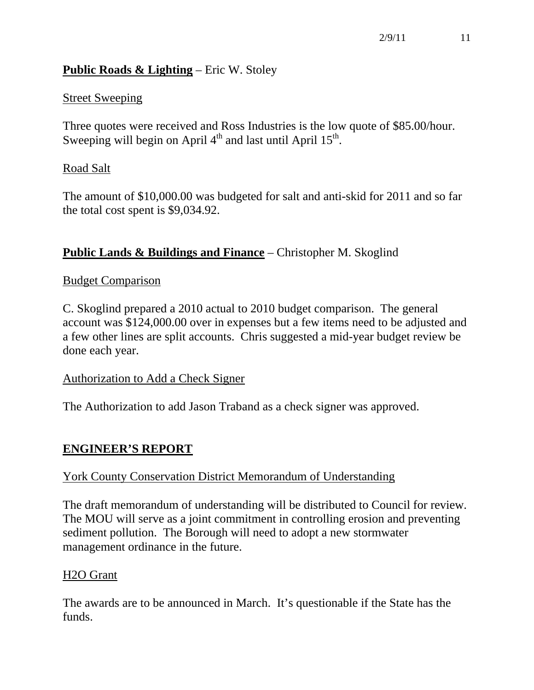## **Public Roads & Lighting** – Eric W. Stoley

## Street Sweeping

Three quotes were received and Ross Industries is the low quote of \$85.00/hour. Sweeping will begin on April  $4<sup>th</sup>$  and last until April  $15<sup>th</sup>$ .

## Road Salt

The amount of \$10,000.00 was budgeted for salt and anti-skid for 2011 and so far the total cost spent is \$9,034.92.

## **Public Lands & Buildings and Finance** – Christopher M. Skoglind

### Budget Comparison

C. Skoglind prepared a 2010 actual to 2010 budget comparison. The general account was \$124,000.00 over in expenses but a few items need to be adjusted and a few other lines are split accounts. Chris suggested a mid-year budget review be done each year.

### Authorization to Add a Check Signer

The Authorization to add Jason Traband as a check signer was approved.

# **ENGINEER'S REPORT**

## York County Conservation District Memorandum of Understanding

The draft memorandum of understanding will be distributed to Council for review. The MOU will serve as a joint commitment in controlling erosion and preventing sediment pollution. The Borough will need to adopt a new stormwater management ordinance in the future.

### H2O Grant

The awards are to be announced in March. It's questionable if the State has the funds.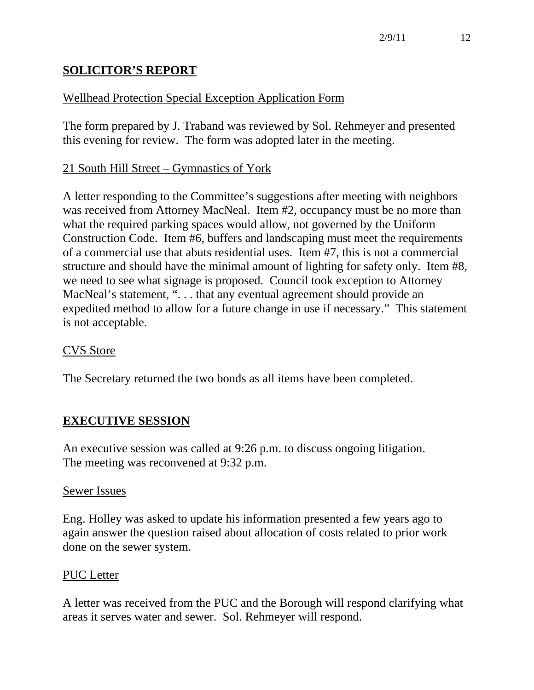# **SOLICITOR'S REPORT**

# Wellhead Protection Special Exception Application Form

The form prepared by J. Traband was reviewed by Sol. Rehmeyer and presented this evening for review. The form was adopted later in the meeting.

## 21 South Hill Street – Gymnastics of York

A letter responding to the Committee's suggestions after meeting with neighbors was received from Attorney MacNeal. Item #2, occupancy must be no more than what the required parking spaces would allow, not governed by the Uniform Construction Code. Item #6, buffers and landscaping must meet the requirements of a commercial use that abuts residential uses. Item #7, this is not a commercial structure and should have the minimal amount of lighting for safety only. Item #8, we need to see what signage is proposed. Council took exception to Attorney MacNeal's statement, ". . . that any eventual agreement should provide an expedited method to allow for a future change in use if necessary." This statement is not acceptable.

### CVS Store

The Secretary returned the two bonds as all items have been completed.

## **EXECUTIVE SESSION**

An executive session was called at 9:26 p.m. to discuss ongoing litigation. The meeting was reconvened at 9:32 p.m.

### Sewer Issues

Eng. Holley was asked to update his information presented a few years ago to again answer the question raised about allocation of costs related to prior work done on the sewer system.

#### PUC Letter

A letter was received from the PUC and the Borough will respond clarifying what areas it serves water and sewer. Sol. Rehmeyer will respond.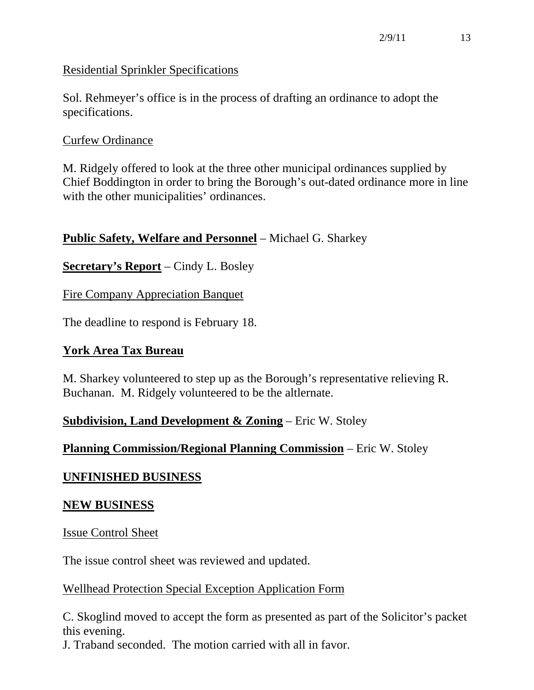## Residential Sprinkler Specifications

Sol. Rehmeyer's office is in the process of drafting an ordinance to adopt the specifications.

## Curfew Ordinance

M. Ridgely offered to look at the three other municipal ordinances supplied by Chief Boddington in order to bring the Borough's out-dated ordinance more in line with the other municipalities' ordinances.

## **Public Safety, Welfare and Personnel** – Michael G. Sharkey

**Secretary's Report** – Cindy L. Bosley

Fire Company Appreciation Banquet

The deadline to respond is February 18.

## **York Area Tax Bureau**

M. Sharkey volunteered to step up as the Borough's representative relieving R. Buchanan. M. Ridgely volunteered to be the altlernate.

## **Subdivision, Land Development & Zoning** – Eric W. Stoley

## **Planning Commission/Regional Planning Commission** – Eric W. Stoley

## **UNFINISHED BUSINESS**

### **NEW BUSINESS**

Issue Control Sheet

The issue control sheet was reviewed and updated.

### Wellhead Protection Special Exception Application Form

C. Skoglind moved to accept the form as presented as part of the Solicitor's packet this evening.

J. Traband seconded. The motion carried with all in favor.